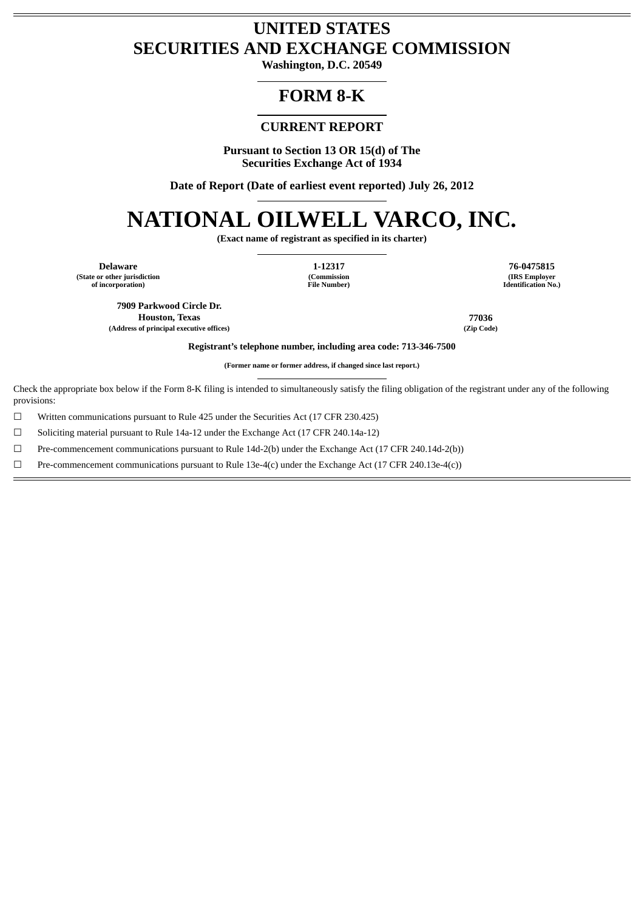## **UNITED STATES SECURITIES AND EXCHANGE COMMISSION**

**Washington, D.C. 20549**

## **FORM 8-K**

### **CURRENT REPORT**

**Pursuant to Section 13 OR 15(d) of The Securities Exchange Act of 1934**

**Date of Report (Date of earliest event reported) July 26, 2012**

# **NATIONAL OILWELL VARCO, INC.**

**(Exact name of registrant as specified in its charter)**

**Delaware 1-12317 76-0475815 (State or other jurisdiction of incorporation)**

**(Commission File Number)**

**(IRS Employer Identification No.)**

**7909 Parkwood Circle Dr. Houston, Texas 77036 (Address of principal executive offices) (Zip Code)**

**Registrant's telephone number, including area code: 713-346-7500**

**(Former name or former address, if changed since last report.)**

Check the appropriate box below if the Form 8-K filing is intended to simultaneously satisfy the filing obligation of the registrant under any of the following provisions:

☐ Written communications pursuant to Rule 425 under the Securities Act (17 CFR 230.425)

☐ Soliciting material pursuant to Rule 14a-12 under the Exchange Act (17 CFR 240.14a-12)

☐ Pre-commencement communications pursuant to Rule 14d-2(b) under the Exchange Act (17 CFR 240.14d-2(b))

☐ Pre-commencement communications pursuant to Rule 13e-4(c) under the Exchange Act (17 CFR 240.13e-4(c))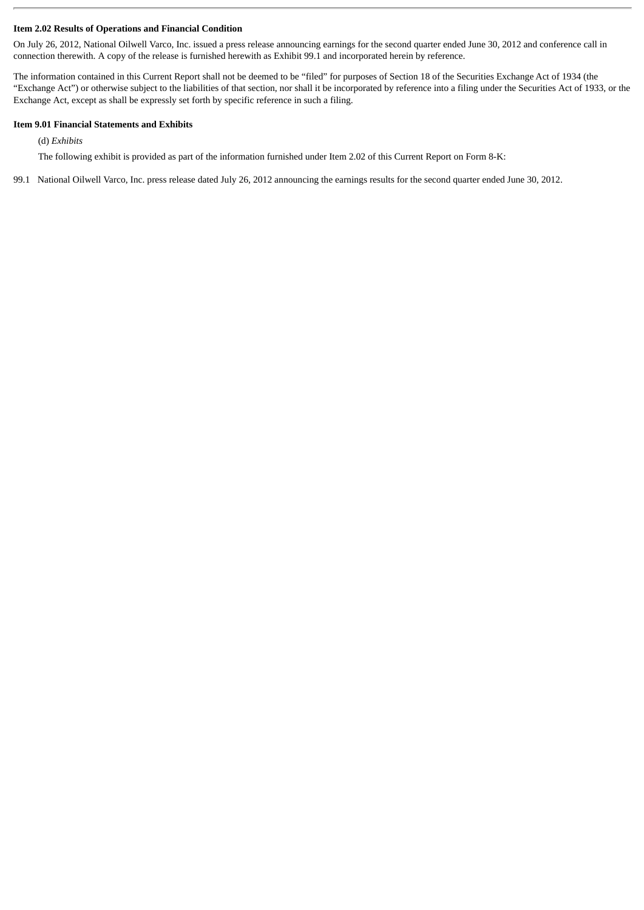#### **Item 2.02 Results of Operations and Financial Condition**

On July 26, 2012, National Oilwell Varco, Inc. issued a press release announcing earnings for the second quarter ended June 30, 2012 and conference call in connection therewith. A copy of the release is furnished herewith as Exhibit 99.1 and incorporated herein by reference.

The information contained in this Current Report shall not be deemed to be "filed" for purposes of Section 18 of the Securities Exchange Act of 1934 (the "Exchange Act") or otherwise subject to the liabilities of that section, nor shall it be incorporated by reference into a filing under the Securities Act of 1933, or the Exchange Act, except as shall be expressly set forth by specific reference in such a filing.

#### **Item 9.01 Financial Statements and Exhibits**

(d) *Exhibits*

The following exhibit is provided as part of the information furnished under Item 2.02 of this Current Report on Form 8-K:

99.1 National Oilwell Varco, Inc. press release dated July 26, 2012 announcing the earnings results for the second quarter ended June 30, 2012.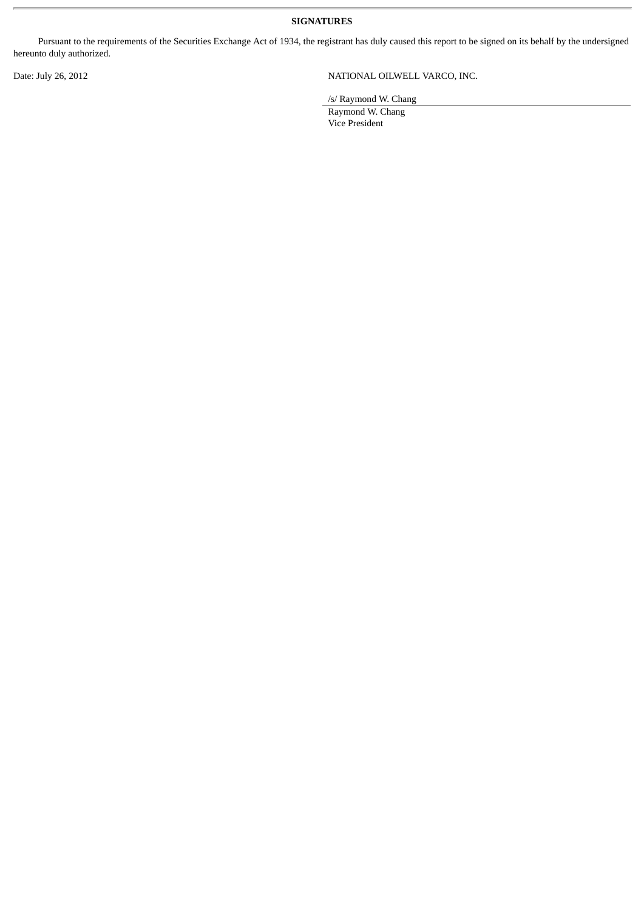**SIGNATURES**

Pursuant to the requirements of the Securities Exchange Act of 1934, the registrant has duly caused this report to be signed on its behalf by the undersigned hereunto duly authorized.

#### Date: July 26, 2012 <br>
NATIONAL OILWELL VARCO, INC.

/s/ Raymond W. Chang

Raymond W. Chang Vice President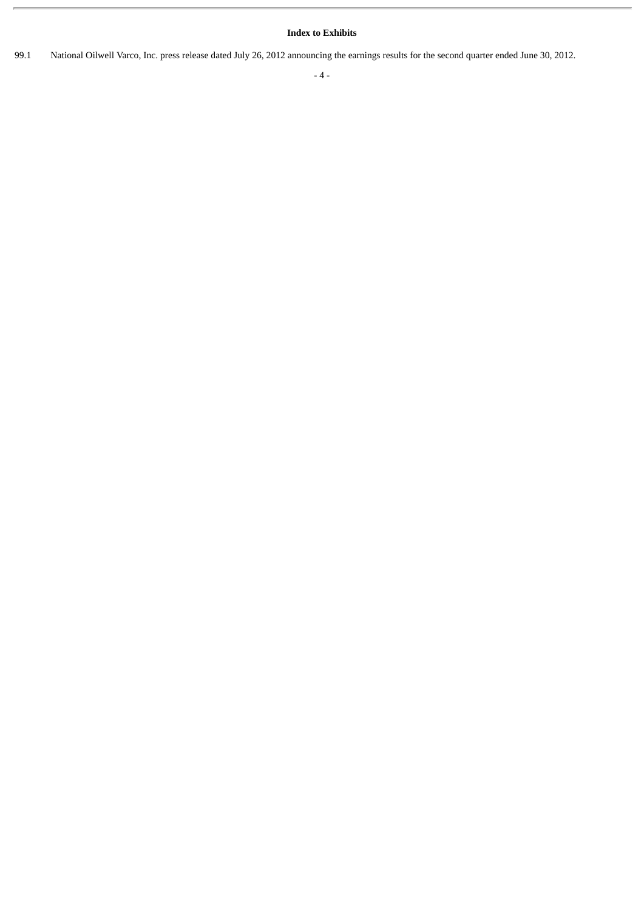#### **Index to Exhibits**

99.1 National Oilwell Varco, Inc. press release dated July 26, 2012 announcing the earnings results for the second quarter ended June 30, 2012.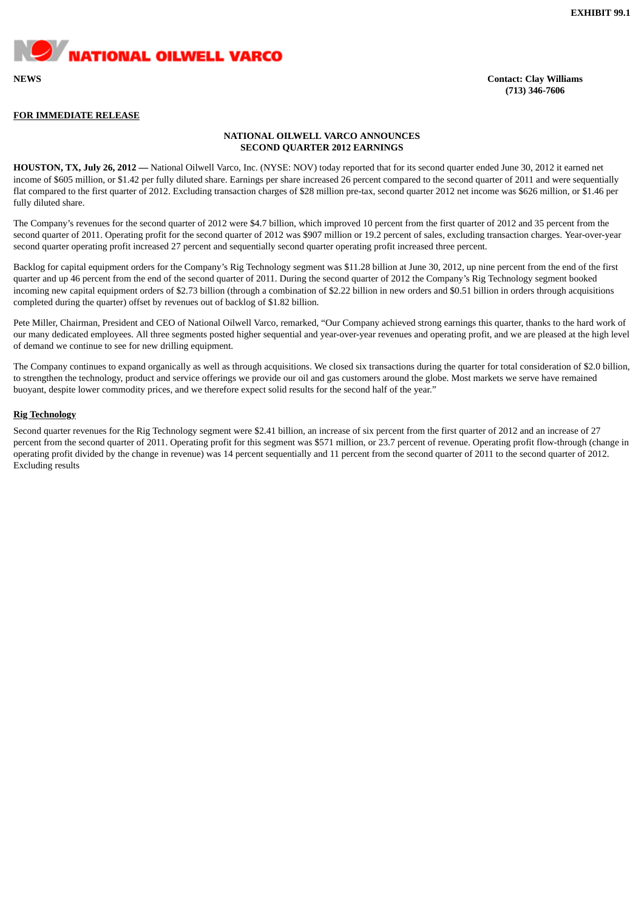**WATIONAL OILWELL VARCO** 

**NEWS Contact: Clay Williams (713) 346-7606**

#### **FOR IMMEDIATE RELEASE**

#### **NATIONAL OILWELL VARCO ANNOUNCES SECOND QUARTER 2012 EARNINGS**

**HOUSTON, TX, July 26, 2012 —** National Oilwell Varco, Inc. (NYSE: NOV) today reported that for its second quarter ended June 30, 2012 it earned net income of \$605 million, or \$1.42 per fully diluted share. Earnings per share increased 26 percent compared to the second quarter of 2011 and were sequentially flat compared to the first quarter of 2012. Excluding transaction charges of \$28 million pre-tax, second quarter 2012 net income was \$626 million, or \$1.46 per fully diluted share.

The Company's revenues for the second quarter of 2012 were \$4.7 billion, which improved 10 percent from the first quarter of 2012 and 35 percent from the second quarter of 2011. Operating profit for the second quarter of 2012 was \$907 million or 19.2 percent of sales, excluding transaction charges. Year-over-year second quarter operating profit increased 27 percent and sequentially second quarter operating profit increased three percent.

Backlog for capital equipment orders for the Company's Rig Technology segment was \$11.28 billion at June 30, 2012, up nine percent from the end of the first quarter and up 46 percent from the end of the second quarter of 2011. During the second quarter of 2012 the Company's Rig Technology segment booked incoming new capital equipment orders of \$2.73 billion (through a combination of \$2.22 billion in new orders and \$0.51 billion in orders through acquisitions completed during the quarter) offset by revenues out of backlog of \$1.82 billion.

Pete Miller, Chairman, President and CEO of National Oilwell Varco, remarked, "Our Company achieved strong earnings this quarter, thanks to the hard work of our many dedicated employees. All three segments posted higher sequential and year-over-year revenues and operating profit, and we are pleased at the high level of demand we continue to see for new drilling equipment.

The Company continues to expand organically as well as through acquisitions. We closed six transactions during the quarter for total consideration of \$2.0 billion, to strengthen the technology, product and service offerings we provide our oil and gas customers around the globe. Most markets we serve have remained buoyant, despite lower commodity prices, and we therefore expect solid results for the second half of the year."

#### **Rig Technology**

Second quarter revenues for the Rig Technology segment were \$2.41 billion, an increase of six percent from the first quarter of 2012 and an increase of 27 percent from the second quarter of 2011. Operating profit for this segment was \$571 million, or 23.7 percent of revenue. Operating profit flow-through (change in operating profit divided by the change in revenue) was 14 percent sequentially and 11 percent from the second quarter of 2011 to the second quarter of 2012. Excluding results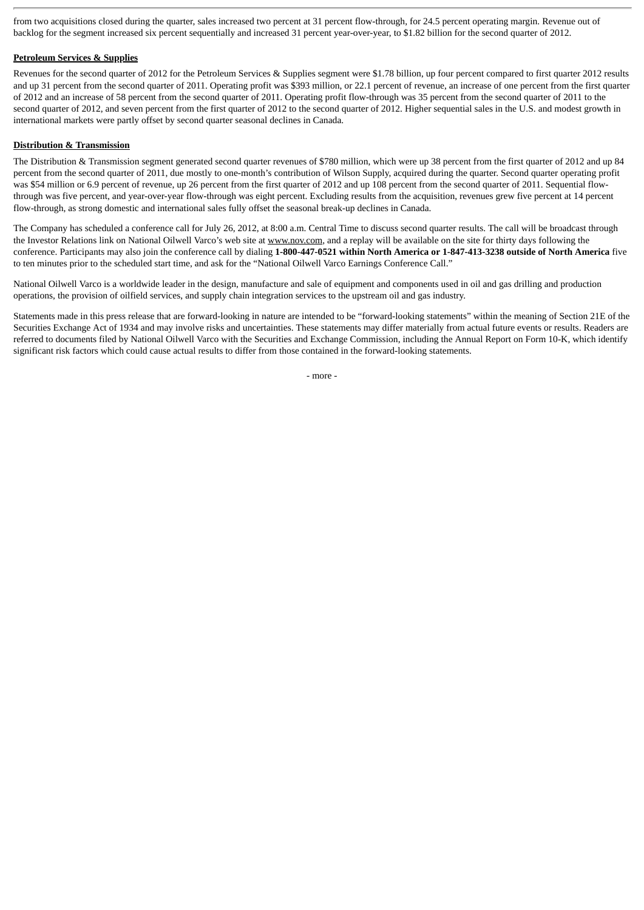from two acquisitions closed during the quarter, sales increased two percent at 31 percent flow-through, for 24.5 percent operating margin. Revenue out of backlog for the segment increased six percent sequentially and increased 31 percent year-over-year, to \$1.82 billion for the second quarter of 2012.

#### **Petroleum Services & Supplies**

Revenues for the second quarter of 2012 for the Petroleum Services & Supplies segment were \$1.78 billion, up four percent compared to first quarter 2012 results and up 31 percent from the second quarter of 2011. Operating profit was \$393 million, or 22.1 percent of revenue, an increase of one percent from the first quarter of 2012 and an increase of 58 percent from the second quarter of 2011. Operating profit flow-through was 35 percent from the second quarter of 2011 to the second quarter of 2012, and seven percent from the first quarter of 2012 to the second quarter of 2012. Higher sequential sales in the U.S. and modest growth in international markets were partly offset by second quarter seasonal declines in Canada.

#### **Distribution & Transmission**

The Distribution & Transmission segment generated second quarter revenues of \$780 million, which were up 38 percent from the first quarter of 2012 and up 84 percent from the second quarter of 2011, due mostly to one-month's contribution of Wilson Supply, acquired during the quarter. Second quarter operating profit was \$54 million or 6.9 percent of revenue, up 26 percent from the first quarter of 2012 and up 108 percent from the second quarter of 2011. Sequential flowthrough was five percent, and year-over-year flow-through was eight percent. Excluding results from the acquisition, revenues grew five percent at 14 percent flow-through, as strong domestic and international sales fully offset the seasonal break-up declines in Canada.

The Company has scheduled a conference call for July 26, 2012, at 8:00 a.m. Central Time to discuss second quarter results. The call will be broadcast through the Investor Relations link on National Oilwell Varco's web site at www.nov.com, and a replay will be available on the site for thirty days following the conference. Participants may also join the conference call by dialing **1-800-447-0521 within North America or 1-847-413-3238 outside of North America** five to ten minutes prior to the scheduled start time, and ask for the "National Oilwell Varco Earnings Conference Call."

National Oilwell Varco is a worldwide leader in the design, manufacture and sale of equipment and components used in oil and gas drilling and production operations, the provision of oilfield services, and supply chain integration services to the upstream oil and gas industry.

Statements made in this press release that are forward-looking in nature are intended to be "forward-looking statements" within the meaning of Section 21E of the Securities Exchange Act of 1934 and may involve risks and uncertainties. These statements may differ materially from actual future events or results. Readers are referred to documents filed by National Oilwell Varco with the Securities and Exchange Commission, including the Annual Report on Form 10-K, which identify significant risk factors which could cause actual results to differ from those contained in the forward-looking statements.

- more -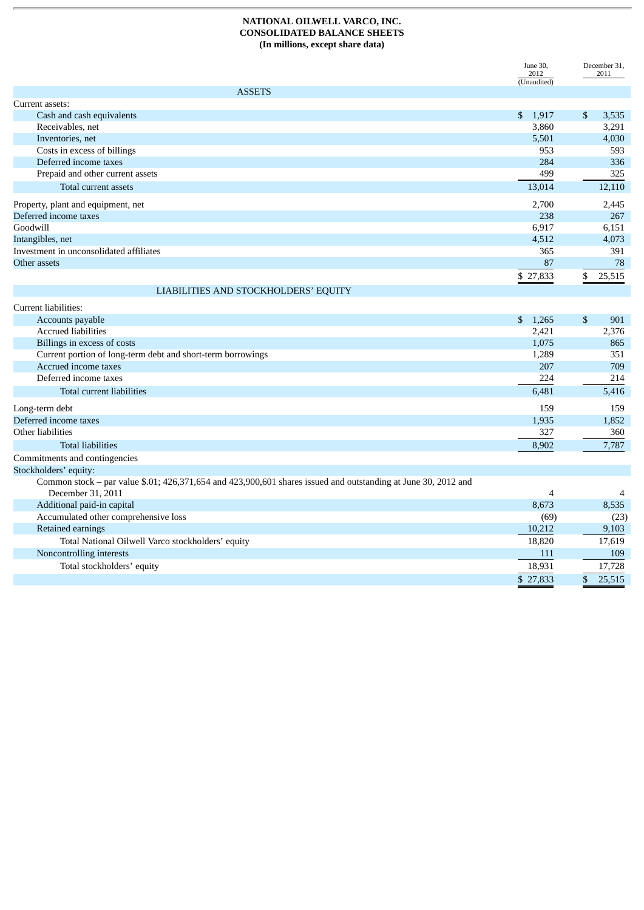#### **NATIONAL OILWELL VARCO, INC. CONSOLIDATED BALANCE SHEETS (In millions, except share data)**

|                                                             | June 30,<br>2012<br>(Unaudited) | December 31,<br>2011 |
|-------------------------------------------------------------|---------------------------------|----------------------|
| <b>ASSETS</b>                                               |                                 |                      |
| Current assets:                                             |                                 |                      |
| Cash and cash equivalents                                   | \$1,917                         | \$<br>3,535          |
| Receivables, net                                            | 3,860                           | 3,291                |
| Inventories, net                                            | 5,501                           | 4,030                |
| Costs in excess of billings                                 | 953                             | 593                  |
| Deferred income taxes                                       | 284                             | 336                  |
| Prepaid and other current assets                            | 499                             | 325                  |
| Total current assets                                        | 13,014                          | 12,110               |
| Property, plant and equipment, net                          | 2,700                           | 2,445                |
| Deferred income taxes                                       | 238                             | 267                  |
| Goodwill                                                    | 6,917                           | 6,151                |
| Intangibles, net                                            | 4,512                           | 4,073                |
| Investment in unconsolidated affiliates                     | 365                             | 391                  |
| Other assets                                                | 87                              | 78                   |
|                                                             | \$ 27,833                       | 25,515<br>\$         |
| LIABILITIES AND STOCKHOLDERS' EQUITY                        |                                 |                      |
| Current liabilities:                                        |                                 |                      |
| Accounts payable                                            | \$1,265                         | \$<br>901            |
| <b>Accrued liabilities</b>                                  | 2,421                           | 2,376                |
| Billings in excess of costs                                 | 1,075                           | 865                  |
| Current portion of long-term debt and short-term borrowings | 1,289                           | 351                  |
| Accrued income taxes                                        | 207                             | 709                  |
| Deferred income taxes                                       | 224                             | 214                  |
| Total current liabilities                                   | 6,481                           | 5,416                |
| Long-term debt                                              | 159                             | 159                  |
| Deferred income taxes                                       | 1,935                           | 1,852                |

| Other liabilities                                                                                              | 327      | 360    |
|----------------------------------------------------------------------------------------------------------------|----------|--------|
| <b>Total liabilities</b>                                                                                       | 8,902    | 7,787  |
| Commitments and contingencies                                                                                  |          |        |
| Stockholders' equity:                                                                                          |          |        |
| Common stock – par value \$.01; 426,371,654 and 423,900,601 shares issued and outstanding at June 30, 2012 and |          |        |
| December 31, 2011                                                                                              |          | 4      |
| Additional paid-in capital                                                                                     | 8,673    | 8,535  |
| Accumulated other comprehensive loss                                                                           | (69)     | (23)   |
| Retained earnings                                                                                              | 10,212   | 9,103  |
| Total National Oilwell Varco stockholders' equity                                                              | 18,820   | 17,619 |
| Noncontrolling interests                                                                                       | 111      | 109    |
| Total stockholders' equity                                                                                     | 18,931   | 17,728 |
|                                                                                                                | \$27,833 | 25,515 |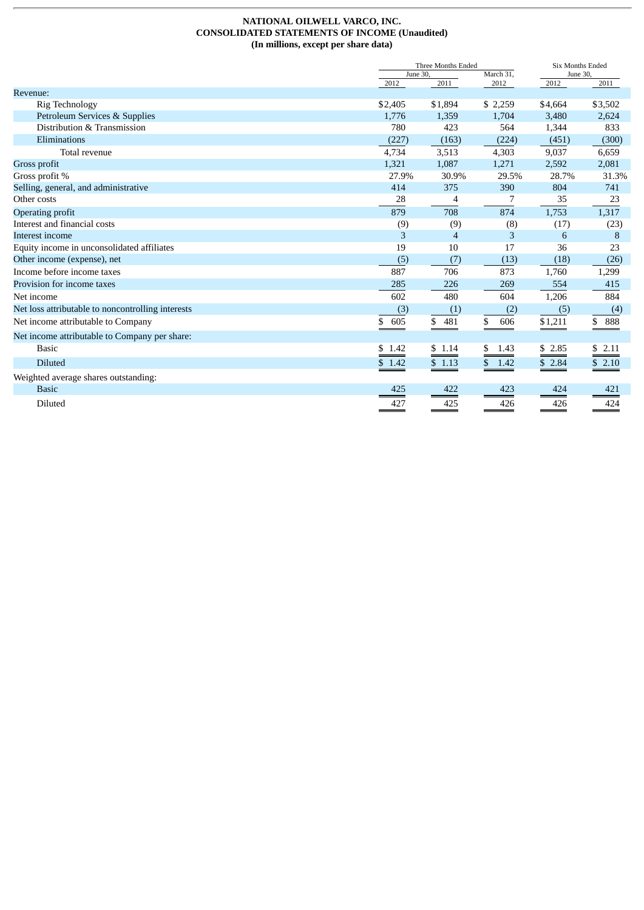#### **NATIONAL OILWELL VARCO, INC. CONSOLIDATED STATEMENTS OF INCOME (Unaudited) (In millions, except per share data)**

|                                                   | Three Months Ended    |                |             | <b>Six Months Ended</b> |         |  |
|---------------------------------------------------|-----------------------|----------------|-------------|-------------------------|---------|--|
|                                                   | March 31,<br>June 30, |                | June 30,    |                         |         |  |
| Revenue:                                          | 2012                  | 2011           | 2012        | 2012                    | 2011    |  |
| Rig Technology                                    | \$2,405               | \$1,894        | \$2,259     | \$4,664                 | \$3,502 |  |
| Petroleum Services & Supplies                     | 1,776                 | 1,359          | 1,704       | 3,480                   | 2,624   |  |
| Distribution & Transmission                       | 780                   | 423            | 564         | 1,344                   | 833     |  |
| Eliminations                                      | (227)                 | (163)          | (224)       | (451)                   | (300)   |  |
| Total revenue                                     | 4,734                 | 3,513          | 4,303       | 9,037                   | 6,659   |  |
| Gross profit                                      | 1,321                 | 1,087          | 1,271       | 2,592                   | 2,081   |  |
| Gross profit %                                    | 27.9%                 | 30.9%          | 29.5%       | 28.7%                   | 31.3%   |  |
| Selling, general, and administrative              | 414                   | 375            | 390         | 804                     | 741     |  |
| Other costs                                       | 28                    | $\overline{4}$ | 7           | 35                      | 23      |  |
| Operating profit                                  | 879                   | 708            | 874         | 1,753                   | 1,317   |  |
| Interest and financial costs                      | (9)                   | (9)            | (8)         | (17)                    | (23)    |  |
| Interest income                                   | 3                     | 4              | 3           | 6                       | 8       |  |
| Equity income in unconsolidated affiliates        | 19                    | 10             | 17          | 36                      | 23      |  |
| Other income (expense), net                       | (5)                   | (7)            | (13)        | (18)                    | (26)    |  |
| Income before income taxes                        | 887                   | 706            | 873         | 1,760                   | 1,299   |  |
| Provision for income taxes                        | 285                   | 226            | 269         | 554                     | 415     |  |
| Net income                                        | 602                   | 480            | 604         | 1,206                   | 884     |  |
| Net loss attributable to noncontrolling interests | (3)                   | (1)            | (2)         | (5)                     | (4)     |  |
| Net income attributable to Company                | \$<br>605             | \$<br>481      | 606<br>\$   | \$1,211                 | \$888   |  |
| Net income attributable to Company per share:     |                       |                |             |                         |         |  |
| <b>Basic</b>                                      | \$1.42                | \$1.14         | 1.43<br>\$  | $\underbrace{$ \$ 2.85  | \$2.11  |  |
| <b>Diluted</b>                                    | \$1.42                | \$1.13         | \$.<br>1.42 | \$2.84                  | \$2.10  |  |
| Weighted average shares outstanding:              |                       |                |             |                         |         |  |
| <b>Basic</b>                                      | 425                   | 422            | 423         | 424                     | 421     |  |
| Diluted                                           | 427                   | 425            | 426         | 426                     | 424     |  |
|                                                   |                       |                |             |                         |         |  |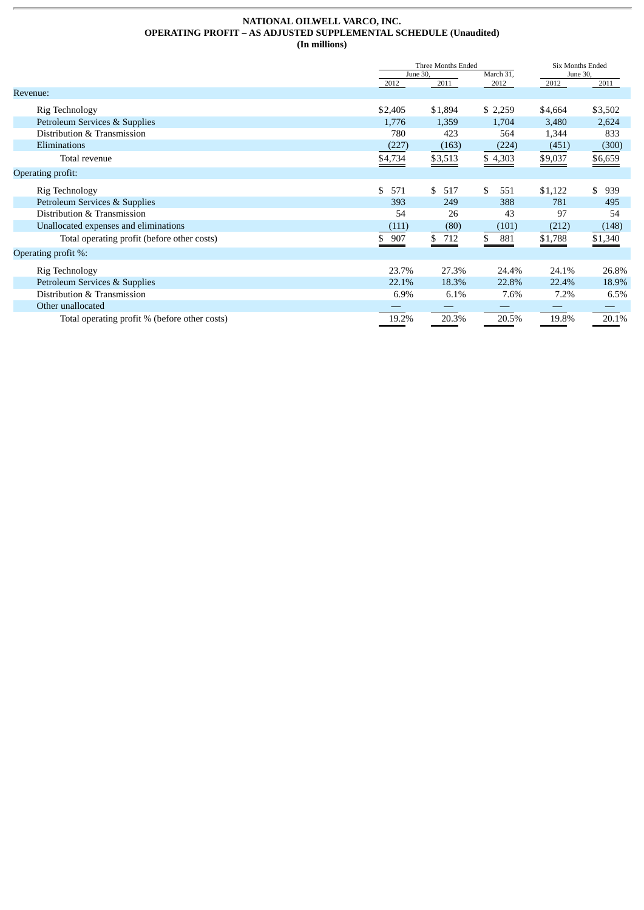#### **NATIONAL OILWELL VARCO, INC. OPERATING PROFIT – AS ADJUSTED SUPPLEMENTAL SCHEDULE (Unaudited) (In millions)**

|                                               |           | Three Months Ended    |           |          | <b>Six Months Ended</b> |  |  |
|-----------------------------------------------|-----------|-----------------------|-----------|----------|-------------------------|--|--|
|                                               |           | June 30.<br>March 31, |           | June 30, |                         |  |  |
|                                               | 2012      | 2011                  | 2012      | 2012     | 2011                    |  |  |
| Revenue:                                      |           |                       |           |          |                         |  |  |
| Rig Technology                                | \$2,405   | \$1,894               | \$2,259   | \$4,664  | \$3,502                 |  |  |
| Petroleum Services & Supplies                 | 1,776     | 1,359                 | 1,704     | 3,480    | 2,624                   |  |  |
| Distribution & Transmission                   | 780       | 423                   | 564       | 1,344    | 833                     |  |  |
| Eliminations                                  | (227)     | (163)                 | (224)     | (451)    | (300)                   |  |  |
| Total revenue                                 | \$4,734   | \$3,513               | \$4,303   | \$9,037  | \$6,659                 |  |  |
| Operating profit:                             |           |                       |           |          |                         |  |  |
| Rig Technology                                | \$<br>571 | \$<br>517             | \$<br>551 | \$1,122  | \$<br>939               |  |  |
| Petroleum Services & Supplies                 | 393       | 249                   | 388       | 781      | 495                     |  |  |
| Distribution & Transmission                   | 54        | 26                    | 43        | 97       | 54                      |  |  |
| Unallocated expenses and eliminations         | (111)     | (80)                  | (101)     | (212)    | (148)                   |  |  |
| Total operating profit (before other costs)   | 907<br>\$ | \$712                 | \$<br>881 | \$1,788  | \$1,340                 |  |  |
| Operating profit %:                           |           |                       |           |          |                         |  |  |
| Rig Technology                                | 23.7%     | 27.3%                 | 24.4%     | 24.1%    | 26.8%                   |  |  |
| Petroleum Services & Supplies                 | 22.1%     | 18.3%                 | 22.8%     | 22.4%    | 18.9%                   |  |  |
| Distribution & Transmission                   | 6.9%      | 6.1%                  | 7.6%      | 7.2%     | 6.5%                    |  |  |
| Other unallocated                             |           |                       |           |          |                         |  |  |
| Total operating profit % (before other costs) | 19.2%     | 20.3%                 | 20.5%     | 19.8%    | 20.1%                   |  |  |